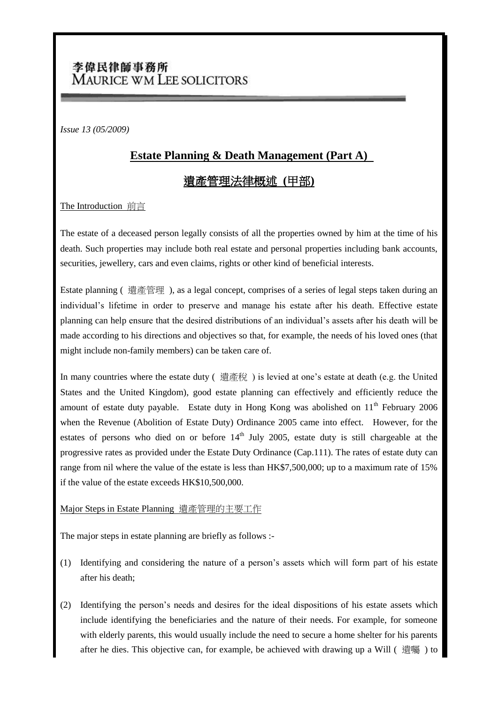# 李偉民律師事務所 MAURICE WM LEE SOLICITORS

*Issue 13 (05/2009)*

## **Estate Planning & Death Management (Part A)**

### 遺產管理法律概述 **(**甲部**)**

### The Introduction 前言

The estate of a deceased person legally consists of all the properties owned by him at the time of his death. Such properties may include both real estate and personal properties including bank accounts, securities, jewellery, cars and even claims, rights or other kind of beneficial interests.

Estate planning ( 遺產管理 ), as a legal concept, comprises of a series of legal steps taken during an individual's lifetime in order to preserve and manage his estate after his death. Effective estate planning can help ensure that the desired distributions of an individual's assets after his death will be made according to his directions and objectives so that, for example, the needs of his loved ones (that might include non-family members) can be taken care of.

In many countries where the estate duty (遺產稅) is levied at one's estate at death (e.g. the United States and the United Kingdom), good estate planning can effectively and efficiently reduce the amount of estate duty payable. Estate duty in Hong Kong was abolished on  $11<sup>th</sup>$  February 2006 when the Revenue (Abolition of Estate Duty) Ordinance 2005 came into effect. However, for the estates of persons who died on or before  $14<sup>th</sup>$  July 2005, estate duty is still chargeable at the progressive rates as provided under the Estate Duty Ordinance (Cap.111). The rates of estate duty can range from nil where the value of the estate is less than HK\$7,500,000; up to a maximum rate of 15% if the value of the estate exceeds HK\$10,500,000.

### Major Steps in Estate Planning 遺產管理的主要工作

The major steps in estate planning are briefly as follows :-

- (1) Identifying and considering the nature of a person's assets which will form part of his estate after his death;
- (2) Identifying the person's needs and desires for the ideal dispositions of his estate assets which include identifying the beneficiaries and the nature of their needs. For example, for someone with elderly parents, this would usually include the need to secure a home shelter for his parents after he dies. This objective can, for example, be achieved with drawing up a Will ( 遺囑 ) to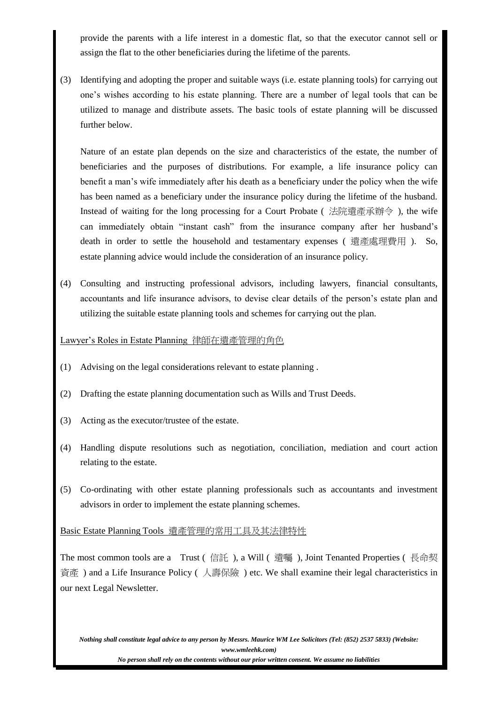provide the parents with a life interest in a domestic flat, so that the executor cannot sell or assign the flat to the other beneficiaries during the lifetime of the parents.

(3) Identifying and adopting the proper and suitable ways (i.e. estate planning tools) for carrying out one's wishes according to his estate planning. There are a number of legal tools that can be utilized to manage and distribute assets. The basic tools of estate planning will be discussed further below.

Nature of an estate plan depends on the size and characteristics of the estate, the number of beneficiaries and the purposes of distributions. For example, a life insurance policy can benefit a man's wife immediately after his death as a beneficiary under the policy when the wife has been named as a beneficiary under the insurance policy during the lifetime of the husband. Instead of waiting for the long processing for a Court Probate ( 法院遺產承辦令 ), the wife can immediately obtain "instant cash" from the insurance company after her husband's death in order to settle the household and testamentary expenses ( 遺產處理費用 ). So, estate planning advice would include the consideration of an insurance policy.

(4) Consulting and instructing professional advisors, including lawyers, financial consultants, accountants and life insurance advisors, to devise clear details of the person's estate plan and utilizing the suitable estate planning tools and schemes for carrying out the plan.

Lawyer's Roles in Estate Planning 律師在遺產管理的角色

- (1) Advising on the legal considerations relevant to estate planning .
- (2) Drafting the estate planning documentation such as Wills and Trust Deeds.
- (3) Acting as the executor/trustee of the estate.
- (4) Handling dispute resolutions such as negotiation, conciliation, mediation and court action relating to the estate.
- (5) Co-ordinating with other estate planning professionals such as accountants and investment advisors in order to implement the estate planning schemes.

Basic Estate Planning Tools 遺產管理的常用工具及其法律特性

The most common tools are a Trust (信託), a Will ( 遺囑), Joint Tenanted Properties ( 長命契 資產 ) and a Life Insurance Policy ( 人壽保險 ) etc. We shall examine their legal characteristics in our next Legal Newsletter.

*Nothing shall constitute legal advice to any person by Messrs. Maurice WM Lee Solicitors (Tel: (852) 2537 5833) (Website: www.wmleehk.com)*

*No person shall rely on the contents without our prior written consent. We assume no liabilities*